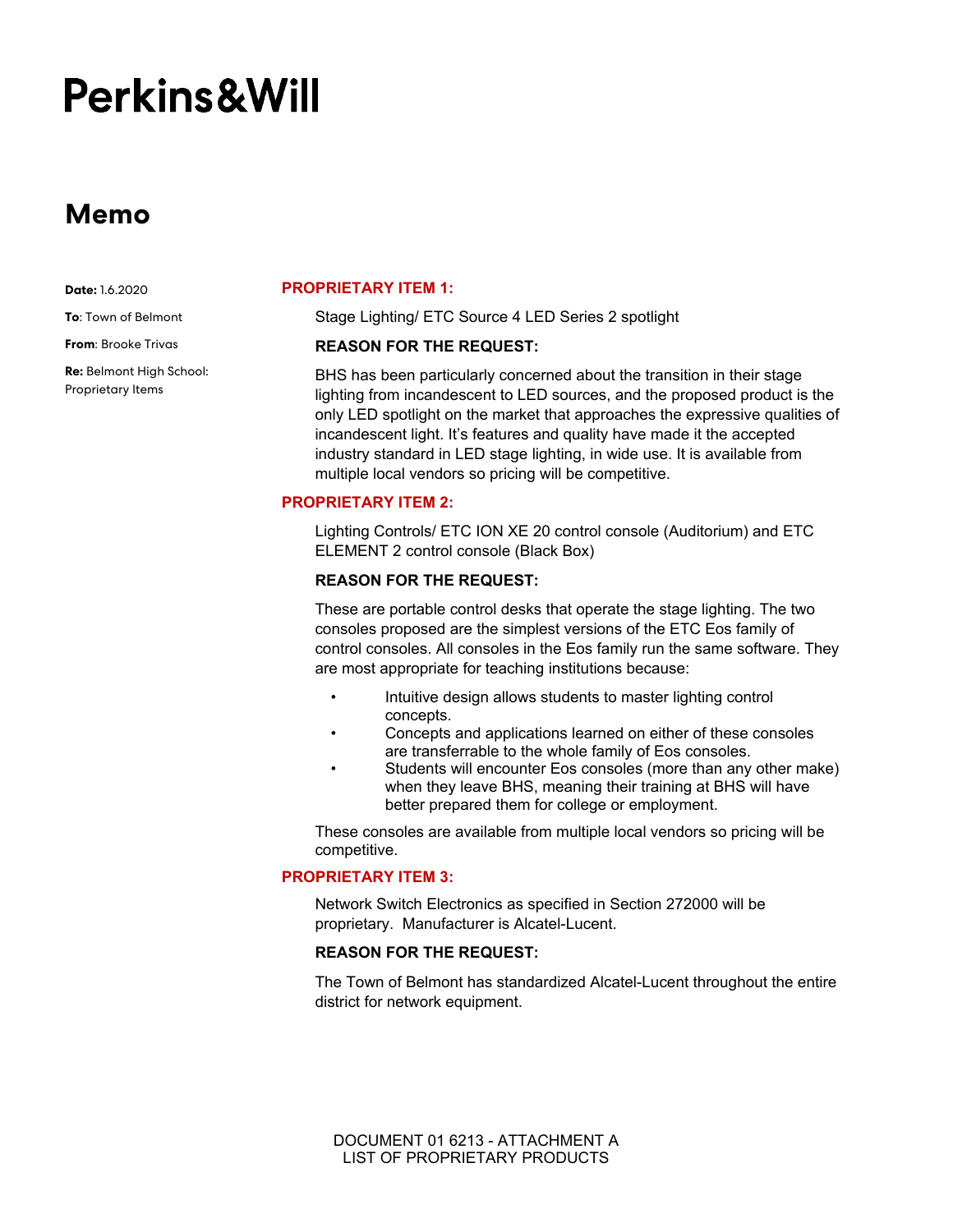# Perkins&Will

# **Memo**

**Date:** 1.6.2020

**To**: Town of Belmont

**From**: Brooke Trivas

**Re:** Belmont High School: Proprietary Items

#### **PROPRIETARY ITEM 1:**

Stage Lighting/ ETC Source 4 LED Series 2 spotlight

#### **REASON FOR THE REQUEST:**

BHS has been particularly concerned about the transition in their stage lighting from incandescent to LED sources, and the proposed product is the only LED spotlight on the market that approaches the expressive qualities of incandescent light. It's features and quality have made it the accepted industry standard in LED stage lighting, in wide use. It is available from multiple local vendors so pricing will be competitive.

### **PROPRIETARY ITEM 2:**

Lighting Controls/ ETC ION XE 20 control console (Auditorium) and ETC ELEMENT 2 control console (Black Box)

#### **REASON FOR THE REQUEST:**

These are portable control desks that operate the stage lighting. The two consoles proposed are the simplest versions of the ETC Eos family of control consoles. All consoles in the Eos family run the same software. They are most appropriate for teaching institutions because:

- Intuitive design allows students to master lighting control concepts.
- Concepts and applications learned on either of these consoles are transferrable to the whole family of Eos consoles.
- Students will encounter Eos consoles (more than any other make) when they leave BHS, meaning their training at BHS will have better prepared them for college or employment.

These consoles are available from multiple local vendors so pricing will be competitive.

# **PROPRIETARY ITEM 3:**

Network Switch Electronics as specified in Section 272000 will be proprietary. Manufacturer is Alcatel-Lucent.

# **REASON FOR THE REQUEST:**

The Town of Belmont has standardized Alcatel-Lucent throughout the entire district for network equipment.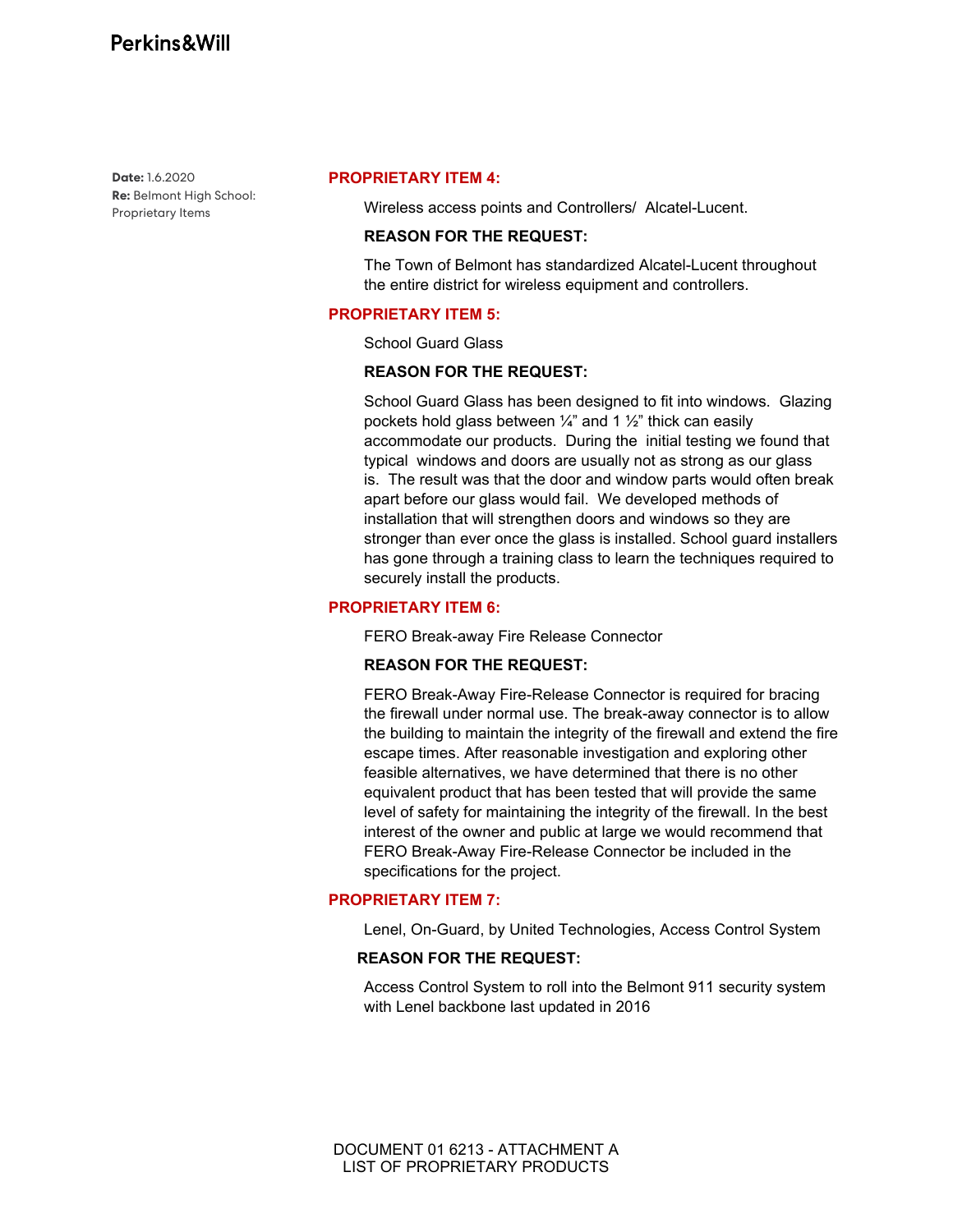**Date:** 1.6.2020 **Re:** Belmont High School: Proprietary Items

#### **PROPRIETARY ITEM 4:**

Wireless access points and Controllers/ Alcatel-Lucent.

#### **REASON FOR THE REQUEST:**

The Town of Belmont has standardized Alcatel-Lucent throughout the entire district for wireless equipment and controllers.

#### **PROPRIETARY ITEM 5:**

School Guard Glass

#### **REASON FOR THE REQUEST:**

School Guard Glass has been designed to fit into windows. Glazing pockets hold glass between  $\frac{1}{4}$  and 1  $\frac{1}{2}$  thick can easily accommodate our products. During the initial testing we found that typical windows and doors are usually not as strong as our glass is. The result was that the door and window parts would often break apart before our glass would fail. We developed methods of installation that will strengthen doors and windows so they are stronger than ever once the glass is installed. School guard installers has gone through a training class to learn the techniques required to securely install the products.

## **PROPRIETARY ITEM 6:**

FERO Break-away Fire Release Connector

#### **REASON FOR THE REQUEST:**

FERO Break-Away Fire-Release Connector is required for bracing the firewall under normal use. The break-away connector is to allow the building to maintain the integrity of the firewall and extend the fire escape times. After reasonable investigation and exploring other feasible alternatives, we have determined that there is no other equivalent product that has been tested that will provide the same level of safety for maintaining the integrity of the firewall. In the best interest of the owner and public at large we would recommend that FERO Break-Away Fire-Release Connector be included in the specifications for the project.

## **PROPRIETARY ITEM 7:**

Lenel, On-Guard, by United Technologies, Access Control System

# **REASON FOR THE REQUEST:**

Access Control System to roll into the Belmont 911 security system with Lenel backbone last updated in 2016